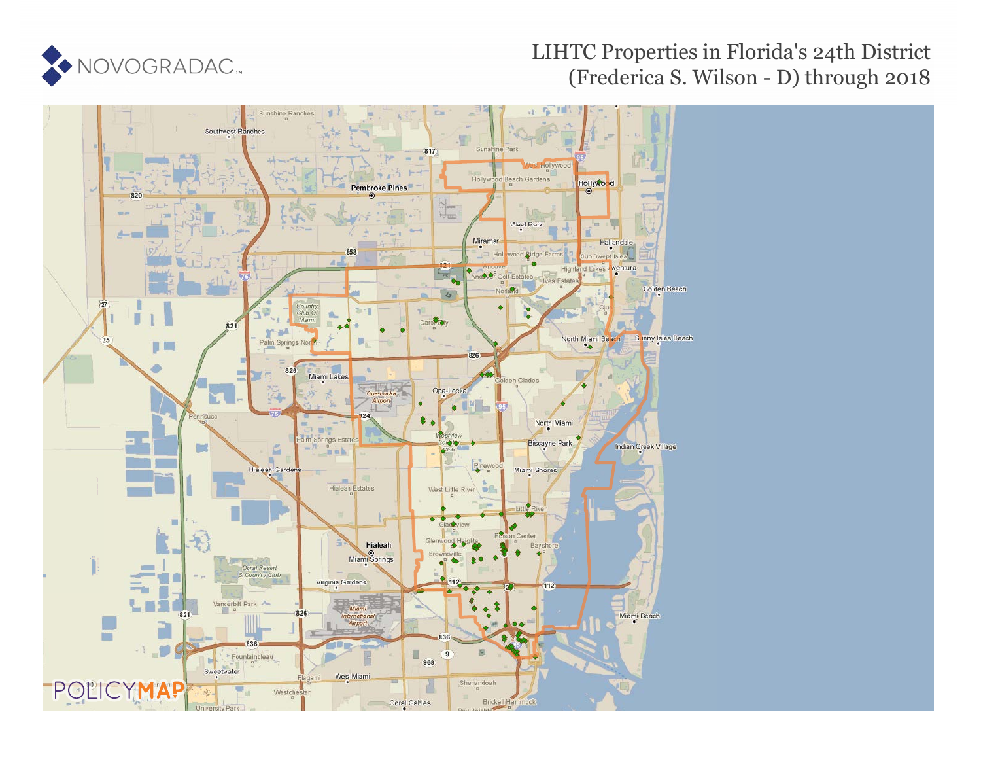

#### LIHTC Properties in Florida's 24th District (Frederica S. Wilson - D) through 2018

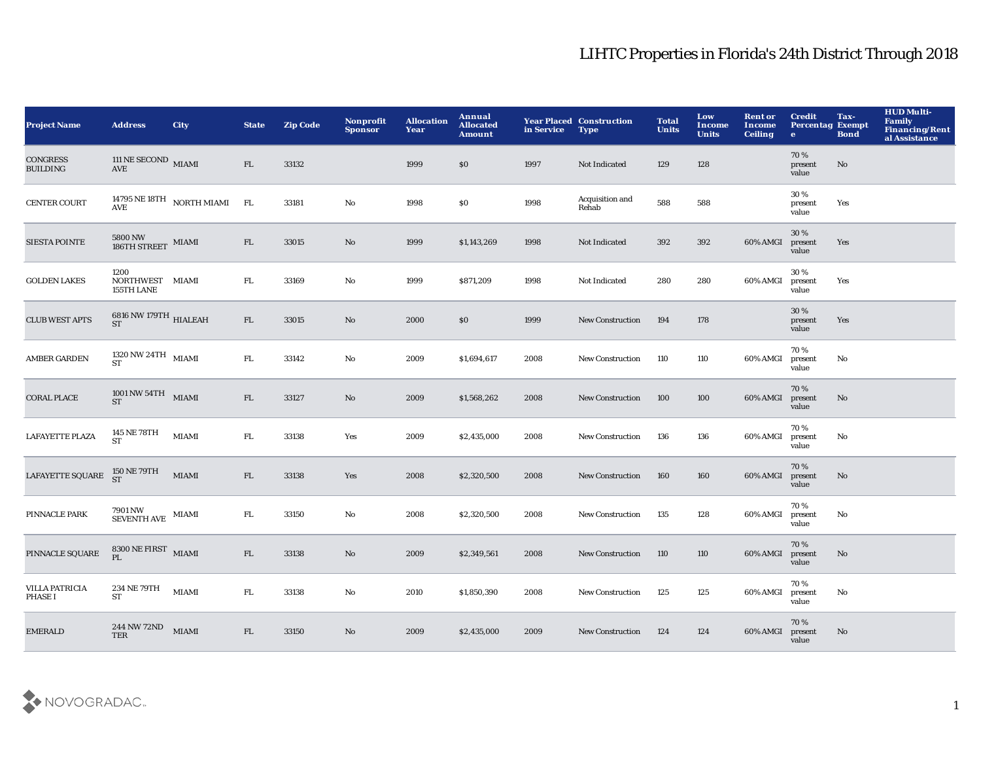| <b>Project Name</b>                | <b>Address</b>                                          | <b>City</b>                        | <b>State</b> | <b>Zip Code</b> | Nonprofit<br><b>Sponsor</b> | <b>Allocation</b><br>Year | Annual<br><b>Allocated</b><br><b>Amount</b> | in Service | <b>Year Placed Construction</b><br><b>Type</b> | <b>Total</b><br><b>Units</b> | Low<br><b>Income</b><br><b>Units</b> | <b>Rent or</b><br>Income<br><b>Ceiling</b> | <b>Credit</b><br><b>Percentag Exempt</b><br>$\mathbf{e}$ | Tax-<br><b>Bond</b> | <b>HUD Multi-</b><br>Family<br>Financing/Rent<br>al Assistance |
|------------------------------------|---------------------------------------------------------|------------------------------------|--------------|-----------------|-----------------------------|---------------------------|---------------------------------------------|------------|------------------------------------------------|------------------------------|--------------------------------------|--------------------------------------------|----------------------------------------------------------|---------------------|----------------------------------------------------------------|
| <b>CONGRESS</b><br><b>BUILDING</b> | 111 NE SECOND MIAMI<br>AVE                              |                                    | FL           | 33132           |                             | 1999                      | $\$0$                                       | 1997       | Not Indicated                                  | 129                          | 128                                  |                                            | 70%<br>present<br>value                                  | No                  |                                                                |
| <b>CENTER COURT</b>                |                                                         | 14795 NE 18TH $\,$ NORTH MIAMI AVE | FL           | 33181           | $\mathbf {No}$              | 1998                      | \$0                                         | 1998       | Acquisition and<br>Rehab                       | 588                          | 588                                  |                                            | 30%<br>present<br>value                                  | Yes                 |                                                                |
| <b>SIESTA POINTE</b>               | $5800\,\mathrm{NW}$ MIAMI 186TH STREET                  |                                    | ${\rm FL}$   | 33015           | $\rm No$                    | 1999                      | \$1,143,269                                 | 1998       | Not Indicated                                  | 392                          | 392                                  | 60% AMGI                                   | 30 %<br>present<br>value                                 | Yes                 |                                                                |
| <b>GOLDEN LAKES</b>                | 1200<br>NORTHWEST MIAMI<br>155TH LANE                   |                                    | FL.          | 33169           | $\rm No$                    | 1999                      | \$871,209                                   | 1998       | Not Indicated                                  | 280                          | 280                                  | 60% AMGI                                   | 30%<br>present<br>value                                  | Yes                 |                                                                |
| <b>CLUB WEST APTS</b>              | $6816$ NW 179TH $_{\rm HIALEAH}$                        |                                    | ${\rm FL}$   | 33015           | No                          | 2000                      | \$0                                         | 1999       | <b>New Construction</b>                        | 194                          | 178                                  |                                            | 30%<br>present<br>value                                  | Yes                 |                                                                |
| <b>AMBER GARDEN</b>                | $1320$ NW $24\mathrm{TH}$ MIAMI<br><b>ST</b>            |                                    | FL.          | 33142           | No                          | 2009                      | \$1,694,617                                 | 2008       | <b>New Construction</b>                        | 110                          | 110                                  | 60% AMGI                                   | 70%<br>present<br>value                                  | No                  |                                                                |
| <b>CORAL PLACE</b>                 | $1001\,\mathrm{NW}\,54\,\mathrm{TH}$ MIAMI<br><b>ST</b> |                                    | FL           | 33127           | No                          | 2009                      | \$1,568,262                                 | 2008       | <b>New Construction</b>                        | 100                          | 100                                  | 60% AMGI                                   | 70%<br>present<br>value                                  | No                  |                                                                |
| LAFAYETTE PLAZA                    | 145 NE 78TH<br><b>ST</b>                                | <b>MIAMI</b>                       | ${\rm FL}$   | 33138           | Yes                         | 2009                      | \$2,435,000                                 | 2008       | New Construction                               | 136                          | 136                                  | 60% AMGI                                   | 70%<br>present<br>value                                  | No                  |                                                                |
| LAFAYETTE SQUARE                   | 150 NE 79TH<br>ST                                       | <b>MIAMI</b>                       | FL           | 33138           | Yes                         | 2008                      | \$2,320,500                                 | 2008       | <b>New Construction</b>                        | 160                          | 160                                  | 60% AMGI                                   | 70%<br>present<br>value                                  | No                  |                                                                |
| PINNACLE PARK                      | $7901\,\mathrm{NW}$ MIAMI SEVENTH AVE $\,$ MIAMI        |                                    | ${\rm FL}$   | 33150           | $\rm No$                    | 2008                      | \$2,320,500                                 | 2008       | New Construction                               | 135                          | 128                                  | 60% AMGI                                   | 70%<br>present<br>value                                  | No                  |                                                                |
| PINNACLE SQUARE                    | $8300\,\mathrm{NE}\,\mathrm{FIRST}$ MIAMI PL            |                                    | FL           | 33138           | No                          | 2009                      | \$2,349,561                                 | 2008       | <b>New Construction</b>                        | 110                          | 110                                  | 60% AMGI                                   | 70%<br>present<br>value                                  | No                  |                                                                |
| <b>VILLA PATRICIA</b><br>PHASE I   | 234 NE 79TH<br><b>ST</b>                                | <b>MIAMI</b>                       | FL.          | 33138           | No                          | 2010                      | \$1,850,390                                 | 2008       | <b>New Construction</b>                        | 125                          | 125                                  | 60% AMGI                                   | 70%<br>present<br>value                                  | No                  |                                                                |
| <b>EMERALD</b>                     | 244 NW 72ND<br><b>TER</b>                               | <b>MIAMI</b>                       | FL           | 33150           | No                          | 2009                      | \$2,435,000                                 | 2009       | <b>New Construction</b>                        | 124                          | 124                                  | 60% AMGI                                   | 70%<br>present<br>value                                  | No                  |                                                                |

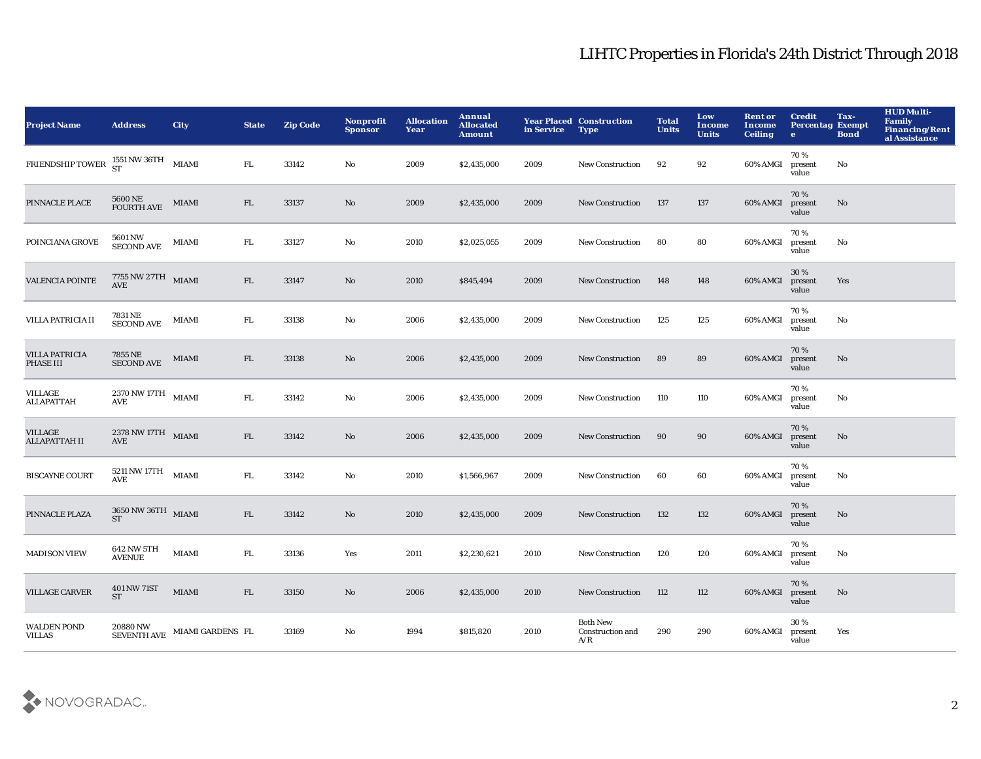| <b>Project Name</b>                    | <b>Address</b>                                                       | <b>City</b>      | <b>State</b> | <b>Zip Code</b> | Nonprofit<br><b>Sponsor</b> | <b>Allocation</b><br>Year | <b>Annual</b><br><b>Allocated</b><br><b>Amount</b> | in Service | <b>Year Placed Construction</b><br><b>Type</b> | <b>Total</b><br><b>Units</b> | Low<br><b>Income</b><br><b>Units</b> | <b>Rent or</b><br><b>Income</b><br><b>Ceiling</b> | <b>Credit</b><br><b>Percentag Exempt</b><br>$\bullet$ | Tax-<br><b>Bond</b>    | <b>HUD Multi-</b><br><b>Family</b><br>Financing/Rent<br>al Assistance |
|----------------------------------------|----------------------------------------------------------------------|------------------|--------------|-----------------|-----------------------------|---------------------------|----------------------------------------------------|------------|------------------------------------------------|------------------------------|--------------------------------------|---------------------------------------------------|-------------------------------------------------------|------------------------|-----------------------------------------------------------------------|
| <b>FRIENDSHIP TOWER</b>                | 1551 NW 36TH<br>ST                                                   | <b>MIAMI</b>     | FL.          | 33142           | No                          | 2009                      | \$2,435,000                                        | 2009       | <b>New Construction</b>                        | 92                           | 92                                   | 60% AMGI                                          | 70%<br>present<br>value                               | No                     |                                                                       |
| PINNACLE PLACE                         | 5600 NE<br>FOURTH AVE                                                | MIAMI            | FL           | 33137           | No                          | 2009                      | \$2,435,000                                        | 2009       | <b>New Construction</b>                        | 137                          | 137                                  | 60% AMGI                                          | 70%<br>present<br>value                               | No                     |                                                                       |
| POINCIANA GROVE                        | 5601 NW<br>SECOND AVE                                                | MIAMI            | FL.          | 33127           | No                          | 2010                      | \$2,025,055                                        | 2009       | <b>New Construction</b>                        | 80                           | 80                                   | 60% AMGI                                          | 70%<br>present<br>value                               | No                     |                                                                       |
| <b>VALENCIA POINTE</b>                 | $7755$ NW $27\mathrm{TH}$ MIAMI<br><b>AVE</b>                        |                  | ${\rm FL}$   | 33147           | No                          | 2010                      | \$845,494                                          | 2009       | <b>New Construction</b>                        | 148                          | 148                                  | 60% AMGI                                          | 30%<br>present<br>value                               | Yes                    |                                                                       |
| VILLA PATRICIA II                      | 7831 NE<br><b>SECOND AVE</b>                                         | MIAMI            | FL.          | 33138           | No                          | 2006                      | \$2,435,000                                        | 2009       | <b>New Construction</b>                        | 125                          | 125                                  | 60% AMGI                                          | 70%<br>present<br>value                               | No                     |                                                                       |
| VILLA PATRICIA<br>PHASE III            | 7855 NE<br><b>SECOND AVE</b>                                         | <b>MIAMI</b>     | FL           | 33138           | No                          | 2006                      | \$2,435,000                                        | 2009       | <b>New Construction</b>                        | 89                           | 89                                   | 60% AMGI                                          | 70%<br>present<br>value                               | $\mathbf{N}\mathbf{o}$ |                                                                       |
| <b>VILLAGE</b><br>ALLAPATTAH           | $2370\,\mathrm{NW}\,17\mathrm{TH}$ MIAMI<br><b>AVE</b>               |                  | FL.          | 33142           | $\mathbf{No}$               | 2006                      | \$2,435,000                                        | 2009       | <b>New Construction</b>                        | 110                          | 110                                  | 60% AMGI                                          | 70%<br>present<br>value                               | No                     |                                                                       |
| <b>VILLAGE</b><br><b>ALLAPATTAH II</b> | $2378\,\mathrm{NW}\,17\mathrm{TH}$ MIAMI<br>$\operatorname{AVE}$     |                  | FL           | 33142           | No                          | 2006                      | \$2,435,000                                        | 2009       | New Construction                               | 90                           | 90                                   | 60% AMGI                                          | 70%<br>present<br>value                               | No                     |                                                                       |
| <b>BISCAYNE COURT</b>                  | $5211\,\mathrm{NW}\,17\mathrm{TH}$ $$\rm{MIAMI}$$<br>AVE             |                  | FL.          | 33142           | No                          | 2010                      | \$1,566,967                                        | 2009       | <b>New Construction</b>                        | 60                           | 60                                   | 60% AMGI                                          | 70%<br>present<br>value                               | No                     |                                                                       |
| PINNACLE PLAZA                         | $3650\,\mathrm{NW}\,36\,\mathrm{TH}\quad\mathrm{MIAMI}$<br><b>ST</b> |                  | ${\rm FL}$   | 33142           | No                          | 2010                      | \$2,435,000                                        | 2009       | <b>New Construction</b>                        | 132                          | 132                                  | 60% AMGI                                          | 70%<br>present<br>value                               | $\mathbf{N}\mathbf{o}$ |                                                                       |
| <b>MADISON VIEW</b>                    | 642 NW 5TH<br><b>AVENUE</b>                                          | MIAMI            | FL.          | 33136           | Yes                         | 2011                      | \$2,230,621                                        | 2010       | <b>New Construction</b>                        | 120                          | 120                                  | 60% AMGI                                          | 70%<br>present<br>value                               | No                     |                                                                       |
| <b>VILLAGE CARVER</b>                  | 401 NW 71ST<br><b>ST</b>                                             | <b>MIAMI</b>     | FL.          | 33150           | No                          | 2006                      | \$2,435,000                                        | 2010       | <b>New Construction</b>                        | 112                          | 112                                  | 60% AMGI                                          | 70%<br>present<br>value                               | No.                    |                                                                       |
| <b>WALDEN POND</b><br><b>VILLAS</b>    | 20880 NW<br><b>SEVENTH AVE</b>                                       | MIAMI GARDENS FL |              | 33169           | No                          | 1994                      | \$815,820                                          | 2010       | <b>Both New</b><br>Construction and<br>A/R     | 290                          | 290                                  | 60% AMGI                                          | 30%<br>present<br>value                               | Yes                    |                                                                       |

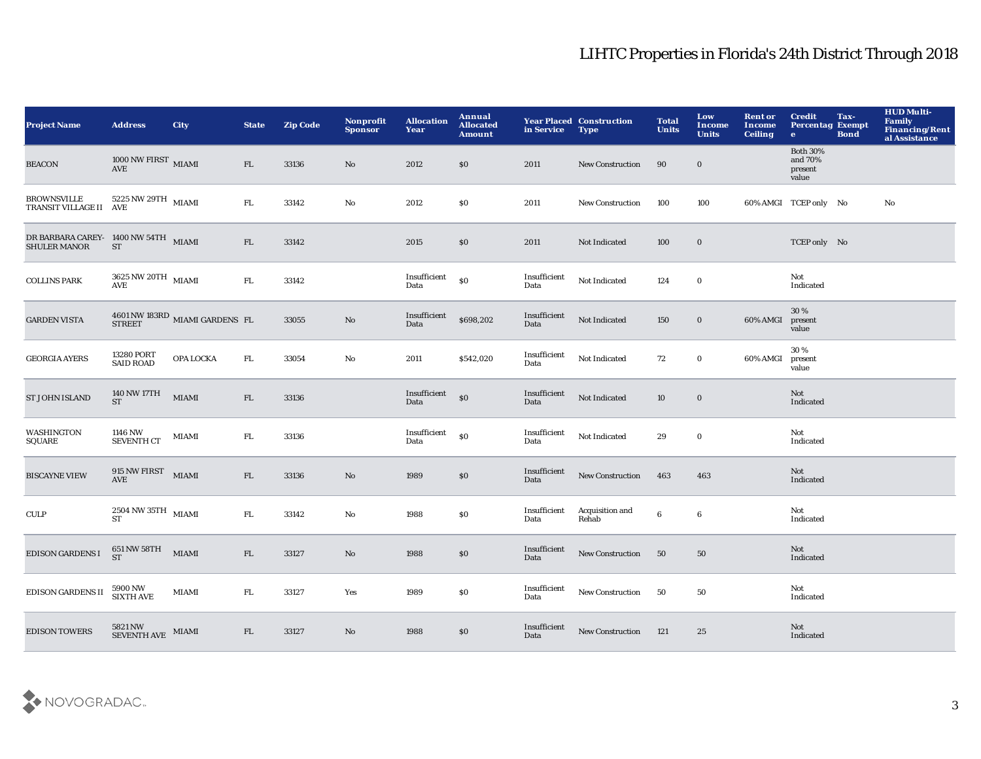| <b>Project Name</b>                                         | <b>Address</b>                                        | <b>City</b>                                                 | <b>State</b> | <b>Zip Code</b> | Nonprofit<br><b>Sponsor</b> | <b>Allocation</b><br>Year | Annual<br><b>Allocated</b><br><b>Amount</b> | in Service           | <b>Year Placed Construction</b><br><b>Type</b> | <b>Total</b><br><b>Units</b> | Low<br><b>Income</b><br><b>Units</b> | <b>Rent or</b><br><b>Income</b><br><b>Ceiling</b> | <b>Credit</b><br><b>Percentag Exempt</b><br>$\bullet$ | Tax-<br><b>Bond</b> | <b>HUD Multi-</b><br>Family<br>Financing/Rent<br>al Assistance |
|-------------------------------------------------------------|-------------------------------------------------------|-------------------------------------------------------------|--------------|-----------------|-----------------------------|---------------------------|---------------------------------------------|----------------------|------------------------------------------------|------------------------------|--------------------------------------|---------------------------------------------------|-------------------------------------------------------|---------------------|----------------------------------------------------------------|
| <b>BEACON</b>                                               | 1000 NW FIRST $_{\rm \,MIAMI}$<br><b>AVE</b>          |                                                             | FL           | 33136           | $\mathbf{No}$               | 2012                      | \$0                                         | 2011                 | <b>New Construction</b>                        | 90                           | $\mathbf 0$                          |                                                   | <b>Both 30%</b><br>and 70%<br>present<br>value        |                     |                                                                |
| <b>BROWNSVILLE</b><br>TRANSIT VILLAGE II AVE                | $5225$ NW $29\mathrm{TH}$ $_{\,$ MIAMI                |                                                             | ${\rm FL}$   | 33142           | $\rm No$                    | 2012                      | \$0                                         | 2011                 | <b>New Construction</b>                        | 100                          | 100                                  |                                                   | 60% AMGI TCEP only No                                 |                     | $\mathbf{N}\mathbf{o}$                                         |
| DR BARBARA CAREY- 1400 NW 54TH MIAMI<br><b>SHULER MANOR</b> | <b>ST</b>                                             |                                                             | FL           | 33142           |                             | 2015                      | $\$0$                                       | 2011                 | Not Indicated                                  | 100                          | $\mathbf 0$                          |                                                   | TCEP only No                                          |                     |                                                                |
| <b>COLLINS PARK</b>                                         | $3625\,\mathrm{NW}\,20\mathrm{TH}$ MIAMI AVE          |                                                             | FL           | 33142           |                             | Insufficient<br>Data      | \$0                                         | Insufficient<br>Data | Not Indicated                                  | 124                          | $\bf{0}$                             |                                                   | Not<br>Indicated                                      |                     |                                                                |
| <b>GARDEN VISTA</b>                                         |                                                       | $4601\,\mathrm{NW}\,183\mathrm{RD}$ MIAMI GARDENS FL STREET |              | 33055           | $\mathbf{N}\mathbf{o}$      | Insufficient<br>Data      | \$698,202                                   | Insufficient<br>Data | Not Indicated                                  | 150                          | $\bf{0}$                             | 60% AMGI                                          | 30%<br>present<br>value                               |                     |                                                                |
| <b>GEORGIA AYERS</b>                                        | 13280 PORT<br><b>SAID ROAD</b>                        | OPA LOCKA                                                   | ${\rm FL}$   | 33054           | $\mathbf{N}\mathbf{o}$      | 2011                      | \$542,020                                   | Insufficient<br>Data | Not Indicated                                  | 72                           | $\bf{0}$                             | 60% AMGI                                          | 30%<br>present<br>value                               |                     |                                                                |
| <b>ST JOHN ISLAND</b>                                       | 140 NW 17TH<br><b>ST</b>                              | <b>MIAMI</b>                                                | FL           | 33136           |                             | Insufficient<br>Data      | $\$0$                                       | Insufficient<br>Data | Not Indicated                                  | 10                           | $\mathbf 0$                          |                                                   | Not<br>Indicated                                      |                     |                                                                |
| <b>WASHINGTON</b><br>SQUARE                                 | 1146 NW<br><b>SEVENTH CT</b>                          | MIAMI                                                       | FL.          | 33136           |                             | Insufficient<br>Data      | \$0                                         | Insufficient<br>Data | Not Indicated                                  | 29                           | $\bf{0}$                             |                                                   | Not<br>Indicated                                      |                     |                                                                |
| <b>BISCAYNE VIEW</b>                                        | $915$ NW FIRST $\quad$ MIAMI<br><b>AVE</b>            |                                                             | FL           | 33136           | $\mathbf{N}\mathbf{o}$      | 1989                      | $\$0$                                       | Insufficient<br>Data | <b>New Construction</b>                        | 463                          | 463                                  |                                                   | Not<br>Indicated                                      |                     |                                                                |
| <b>CULP</b>                                                 | $2\,504$ NW $35\mathrm{TH}$ $_{\,$ MIAMI<br><b>ST</b> |                                                             | ${\rm FL}$   | 33142           | $\rm No$                    | 1988                      | $\$0$                                       | Insufficient<br>Data | Acquisition and<br>Rehab                       | $\bf{6}$                     | $\bf 6$                              |                                                   | Not<br>Indicated                                      |                     |                                                                |
| <b>EDISON GARDENS I</b>                                     | $651\,\mathrm{NW}\,58\mathrm{TH}$ MIAMI<br><b>ST</b>  |                                                             | FL           | 33127           | $\mathbf{N}\mathbf{o}$      | 1988                      | $\$0$                                       | Insufficient<br>Data | New Construction                               | 50                           | 50                                   |                                                   | Not<br>Indicated                                      |                     |                                                                |
| <b>EDISON GARDENS II</b>                                    | 5900 NW<br>SIXTH AVE                                  | MIAMI                                                       | FL.          | 33127           | Yes                         | 1989                      | \$0                                         | Insufficient<br>Data | New Construction                               | 50                           | 50                                   |                                                   | Not<br>Indicated                                      |                     |                                                                |
| <b>EDISON TOWERS</b>                                        | $5821\,\mathrm{NW}$ MIAMI SEVENTH AVE $\,$ MIAMI      |                                                             | FL           | 33127           | No                          | 1988                      | \$0                                         | Insufficient<br>Data | <b>New Construction</b>                        | 121                          | 25                                   |                                                   | Not<br>Indicated                                      |                     |                                                                |

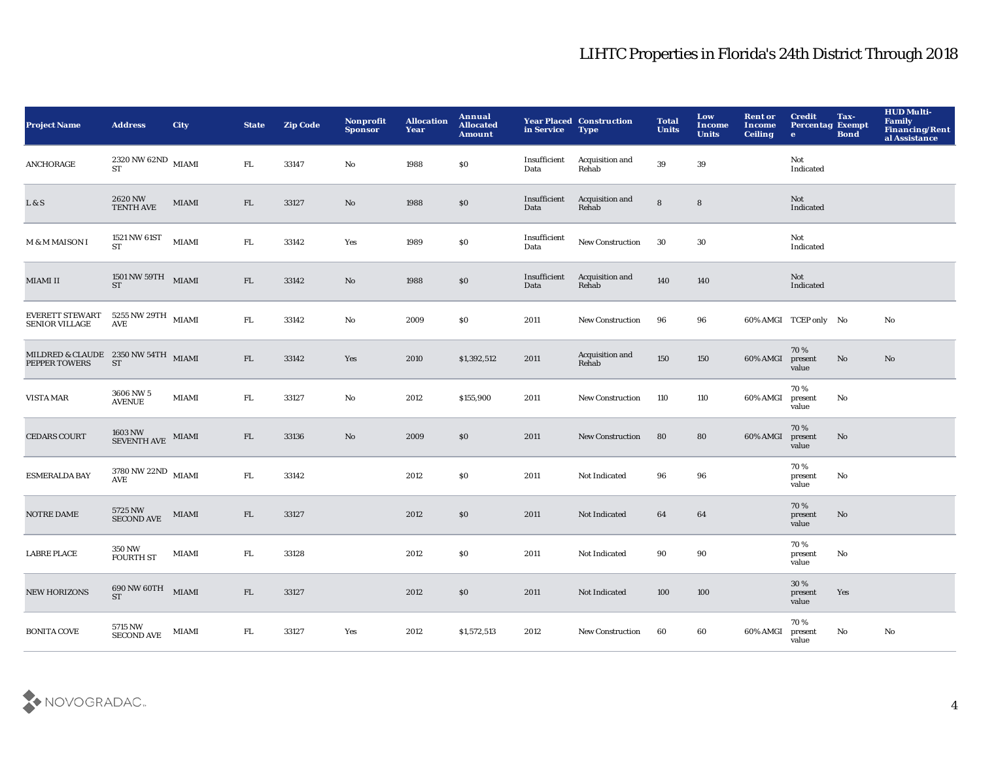| Project Name                                         | <b>Address</b>                                           | City         | <b>State</b> | <b>Zip Code</b> | Nonprofit<br><b>Sponsor</b> | <b>Allocation</b><br>Year | Annual<br><b>Allocated</b><br><b>Amount</b> | in Service           | <b>Year Placed Construction</b><br><b>Type</b> | <b>Total</b><br><b>Units</b> | Low<br><b>Income</b><br><b>Units</b> | <b>Rent or</b><br><b>Income</b><br><b>Ceiling</b> | <b>Credit</b><br><b>Percentag Exempt</b><br>$\bullet$ | Tax-<br><b>Bond</b> | <b>HUD Multi-</b><br><b>Family</b><br>Financing/Rent<br>al Assistance |
|------------------------------------------------------|----------------------------------------------------------|--------------|--------------|-----------------|-----------------------------|---------------------------|---------------------------------------------|----------------------|------------------------------------------------|------------------------------|--------------------------------------|---------------------------------------------------|-------------------------------------------------------|---------------------|-----------------------------------------------------------------------|
| <b>ANCHORAGE</b>                                     | $2320\,\mathrm{NW}\,62\mathrm{ND}$ MIAMI<br><b>ST</b>    |              | FL.          | 33147           | No                          | 1988                      | $\$0$                                       | Insufficient<br>Data | Acquisition and<br>Rehab                       | $39\,$                       | 39                                   |                                                   | Not<br>Indicated                                      |                     |                                                                       |
| L & S                                                | $2620\,\mathrm{NW}$ TENTH AVE                            | <b>MIAMI</b> | ${\rm FL}$   | 33127           | No                          | 1988                      | $\$0$                                       | Insufficient<br>Data | Acquisition and<br>Rehab                       | $\bf8$                       | ${\bf 8}$                            |                                                   | Not<br>Indicated                                      |                     |                                                                       |
| M & M MAISON I                                       | 1521 NW 61ST<br><b>ST</b>                                | <b>MIAMI</b> | ${\rm FL}$   | 33142           | Yes                         | 1989                      | $\$0$                                       | Insufficient<br>Data | New Construction                               | 30                           | $30\,$                               |                                                   | Not<br>Indicated                                      |                     |                                                                       |
| <b>MIAMI II</b>                                      | $1501\,\mathrm{NW}\,59\mathrm{TH}$ MIAMI<br>ST           |              | ${\rm FL}$   | 33142           | $\mathbf{N}\mathbf{o}$      | 1988                      | ${\bf S0}$                                  | Insufficient<br>Data | Acquisition and<br>Rehab                       | 140                          | 140                                  |                                                   | Not<br>Indicated                                      |                     |                                                                       |
| <b>EVERETT STEWART</b><br>SENIOR VILLAGE             | $5255$ NW $29\mathrm{TH}$ $$\rm{MIAMI}$$                 |              | ${\rm FL}$   | 33142           | No                          | 2009                      | \$0                                         | 2011                 | <b>New Construction</b>                        | 96                           | 96                                   |                                                   | 60% AMGI TCEP only No                                 |                     | No                                                                    |
| MILDRED & CLAUDE 2350 NW 54TH MIAMI<br>PEPPER TOWERS | ${\cal S}{\cal T}$                                       |              | FL           | 33142           | Yes                         | 2010                      | \$1,392,512                                 | 2011                 | Acquisition and<br>Rehab                       | 150                          | 150                                  | 60% AMGI                                          | 70%<br>present<br>value                               | No                  | No                                                                    |
| <b>VISTA MAR</b>                                     | 3606 NW 5<br><b>AVENUE</b>                               | <b>MIAMI</b> | ${\rm FL}$   | 33127           | No                          | 2012                      | \$155,900                                   | 2011                 | <b>New Construction</b>                        | 110                          | 110                                  | 60% AMGI                                          | 70%<br>present<br>value                               | No                  |                                                                       |
| <b>CEDARS COURT</b>                                  | $1603\,\mathrm{NW}$ $$\rm{MIAMI}$$ $$\rm{SEVENTH\,AVE}$$ |              | FL           | 33136           | No                          | 2009                      | \$0                                         | 2011                 | New Construction                               | 80                           | 80                                   | 60% AMGI                                          | 70%<br>present<br>value                               | No                  |                                                                       |
| <b>ESMERALDA BAY</b>                                 | $3780\,\mathrm{NW}\,22\mathrm{ND}$ MIAMI AVE             |              | ${\rm FL}$   | 33142           |                             | 2012                      | \$0\$                                       | 2011                 | Not Indicated                                  | 96                           | 96                                   |                                                   | 70%<br>present<br>value                               | No                  |                                                                       |
| NOTRE DAME                                           | 5725 NW<br><b>SECOND AVE</b>                             | MIAMI        | ${\rm FL}$   | 33127           |                             | 2012                      | $\$0$                                       | 2011                 | Not Indicated                                  | 64                           | 64                                   |                                                   | 70%<br>present<br>value                               | No                  |                                                                       |
| <b>LABRE PLACE</b>                                   | 350 NW<br><b>FOURTH ST</b>                               | <b>MIAMI</b> | ${\rm FL}$   | 33128           |                             | 2012                      | \$0\$                                       | 2011                 | Not Indicated                                  | 90                           | 90                                   |                                                   | 70%<br>present<br>value                               | No                  |                                                                       |
| <b>NEW HORIZONS</b>                                  | $690$ NW $60\mathrm{TH}$ $_{\,}$ MIAMI<br><b>ST</b>      |              | ${\rm FL}$   | 33127           |                             | 2012                      | \$0\$                                       | 2011                 | Not Indicated                                  | 100                          | 100                                  |                                                   | 30%<br>present<br>value                               | Yes                 |                                                                       |
| <b>BONITA COVE</b>                                   | 5715 NW<br><b>SECOND AVE</b>                             | MIAMI        | FL           | 33127           | Yes                         | 2012                      | \$1,572,513                                 | 2012                 | <b>New Construction</b>                        | 60                           | 60                                   | 60% AMGI                                          | 70%<br>present<br>value                               | No                  | No                                                                    |

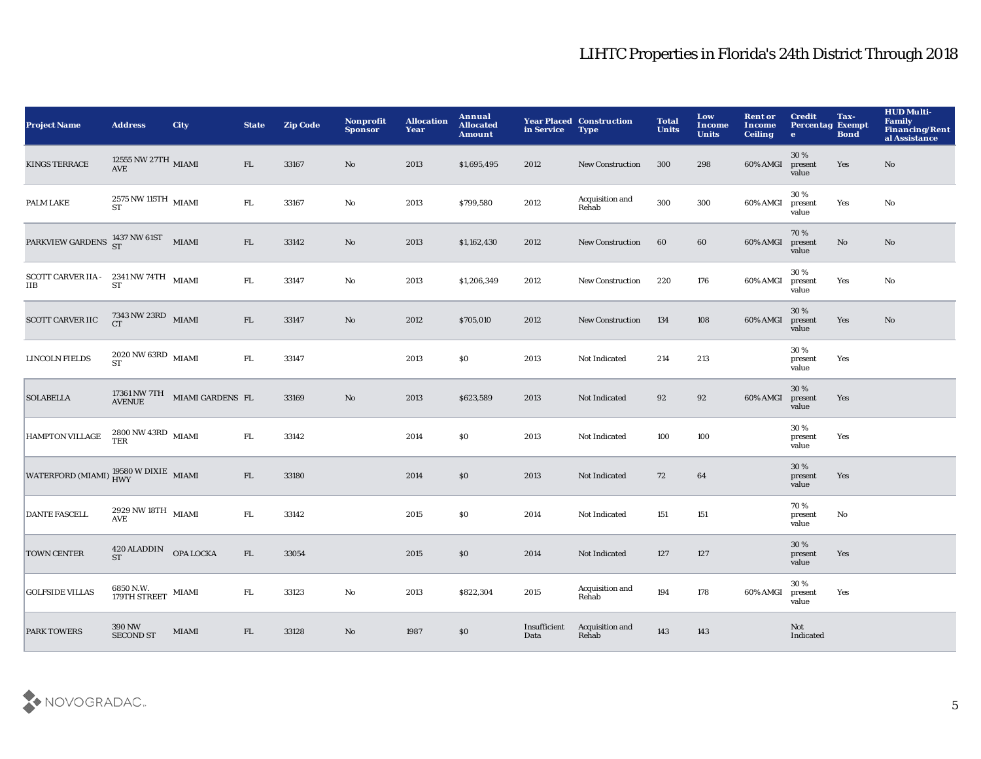| <b>Project Name</b>                                             | <b>Address</b>                                                                     | <b>City</b>                                                                | <b>State</b> | <b>Zip Code</b> | Nonprofit<br><b>Sponsor</b> | <b>Allocation</b><br>Year | Annual<br><b>Allocated</b><br><b>Amount</b> | in Service           | <b>Year Placed Construction</b><br><b>Type</b> | <b>Total</b><br><b>Units</b> | Low<br><b>Income</b><br><b>Units</b> | <b>Rent or</b><br>Income<br><b>Ceiling</b> | <b>Credit</b><br><b>Percentag Exempt</b><br>$\mathbf{e}$ | Tax-<br><b>Bond</b> | <b>HUD Multi-</b><br><b>Family</b><br>Financing/Rent<br>al Assistance |
|-----------------------------------------------------------------|------------------------------------------------------------------------------------|----------------------------------------------------------------------------|--------------|-----------------|-----------------------------|---------------------------|---------------------------------------------|----------------------|------------------------------------------------|------------------------------|--------------------------------------|--------------------------------------------|----------------------------------------------------------|---------------------|-----------------------------------------------------------------------|
| <b>KINGS TERRACE</b>                                            | $12555$ NW $27 \mathrm{TH}$ MIAMI AVE                                              |                                                                            | FL           | 33167           | $\mathbf{N}\mathbf{o}$      | 2013                      | \$1,695,495                                 | 2012                 | New Construction                               | 300                          | 298                                  | 60% AMGI                                   | 30 %<br>present<br>value                                 | Yes                 | $\mathbf{N}\mathbf{o}$                                                |
| PALM LAKE                                                       | $2575$ NW 115TH $\,$ MIAMI ST                                                      |                                                                            | ${\rm FL}$   | 33167           | $\mathbf {No}$              | 2013                      | \$799,580                                   | 2012                 | Acquisition and<br>Rehab                       | 300                          | 300                                  | 60% AMGI                                   | 30%<br>present<br>value                                  | Yes                 | No                                                                    |
| PARKVIEW GARDENS 1437 NW 61ST MIAMI                             |                                                                                    |                                                                            | ${\rm FL}$   | 33142           | $\mathbf{N}\mathbf{o}$      | 2013                      | \$1,162,430                                 | 2012                 | <b>New Construction</b>                        | 60                           | 60                                   | 60% AMGI                                   | 70 %<br>present<br>value                                 | No                  | $\mathbf{N}\mathbf{o}$                                                |
| SCOTT CARVER IIA - 2341 NW 74TH MIAMI<br><b>IIB</b>             | <b>ST</b>                                                                          |                                                                            | ${\rm FL}$   | 33147           | $\rm No$                    | 2013                      | \$1,206,349                                 | 2012                 | New Construction                               | 220                          | 176                                  | 60% AMGI                                   | 30%<br>present<br>value                                  | Yes                 | No                                                                    |
| <b>SCOTT CARVER IIC</b>                                         | $7343\,\mathrm{NW}\,23\mathrm{RD}$ MIAMI CT                                        |                                                                            | ${\rm FL}$   | 33147           | No                          | 2012                      | \$705,010                                   | 2012                 | <b>New Construction</b>                        | 134                          | 108                                  | 60% AMGI                                   | 30 %<br>present<br>value                                 | Yes                 | No                                                                    |
| LINCOLN FIELDS                                                  | $2020\,\mathrm{NW}\,63\mathrm{RD}$ MIAMI ST                                        |                                                                            | FL           | 33147           |                             | 2013                      | S <sub>0</sub>                              | 2013                 | Not Indicated                                  | 214                          | 213                                  |                                            | 30%<br>present<br>value                                  | Yes                 |                                                                       |
| <b>SOLABELLA</b>                                                |                                                                                    | $17361\,\mathrm{NW}\,\mathrm{7TH}$ $$\rm{MIAM}$ GARDENS $$\rm{FL}$$ AVENUE |              | 33169           | $\mathbf{N}\mathbf{o}$      | 2013                      | \$623,589                                   | 2013                 | Not Indicated                                  | 92                           | 92                                   | 60% AMGI                                   | 30%<br>present<br>value                                  | Yes                 |                                                                       |
| <b>HAMPTON VILLAGE</b>                                          | $2800\,\mathrm{NW}\,43\mathrm{RD}$ MIAMI TER                                       |                                                                            | ${\bf FL}$   | 33142           |                             | 2014                      | \$0\$                                       | 2013                 | Not Indicated                                  | 100                          | 100                                  |                                            | 30%<br>present<br>value                                  | Yes                 |                                                                       |
| WATERFORD (MIAMI) $^{19580 \text{ W DIXIE}}_{\text{HWY}}$ MIAMI |                                                                                    |                                                                            | ${\rm FL}$   | 33180           |                             | 2014                      | $\$0$                                       | 2013                 | Not Indicated                                  | 72                           | 64                                   |                                            | 30%<br>present<br>value                                  | Yes                 |                                                                       |
| <b>DANTE FASCELL</b>                                            | $2929\,\mathrm{NW}\,18\mathrm{TH}$ $_{\rm~MIAMI}$<br>$\operatorname{\mathbf{AVE}}$ |                                                                            | ${\rm FL}$   | 33142           |                             | 2015                      | $\$0$                                       | 2014                 | Not Indicated                                  | 151                          | 151                                  |                                            | 70%<br>present<br>value                                  | No                  |                                                                       |
| <b>TOWN CENTER</b>                                              | $420$ ALADDIN OPA LOCKA ST                                                         |                                                                            | ${\rm FL}$   | 33054           |                             | 2015                      | \$0\$                                       | 2014                 | Not Indicated                                  | 127                          | 127                                  |                                            | 30 %<br>present<br>value                                 | Yes                 |                                                                       |
| <b>GOLFSIDE VILLAS</b>                                          | 6850 N.W.<br>179TH STREET MIAMI                                                    |                                                                            | FL.          | 33123           | $\mathbf{No}$               | 2013                      | \$822,304                                   | 2015                 | Acquisition and<br>Rehab                       | 194                          | 178                                  | 60% AMGI                                   | 30 %<br>present<br>value                                 | Yes                 |                                                                       |
| <b>PARK TOWERS</b>                                              | 390 NW<br><b>SECOND ST</b>                                                         | <b>MIAMI</b>                                                               | FL           | 33128           | No                          | 1987                      | \$0\$                                       | Insufficient<br>Data | Acquisition and<br>Rehab                       | 143                          | 143                                  |                                            | Not<br>Indicated                                         |                     |                                                                       |

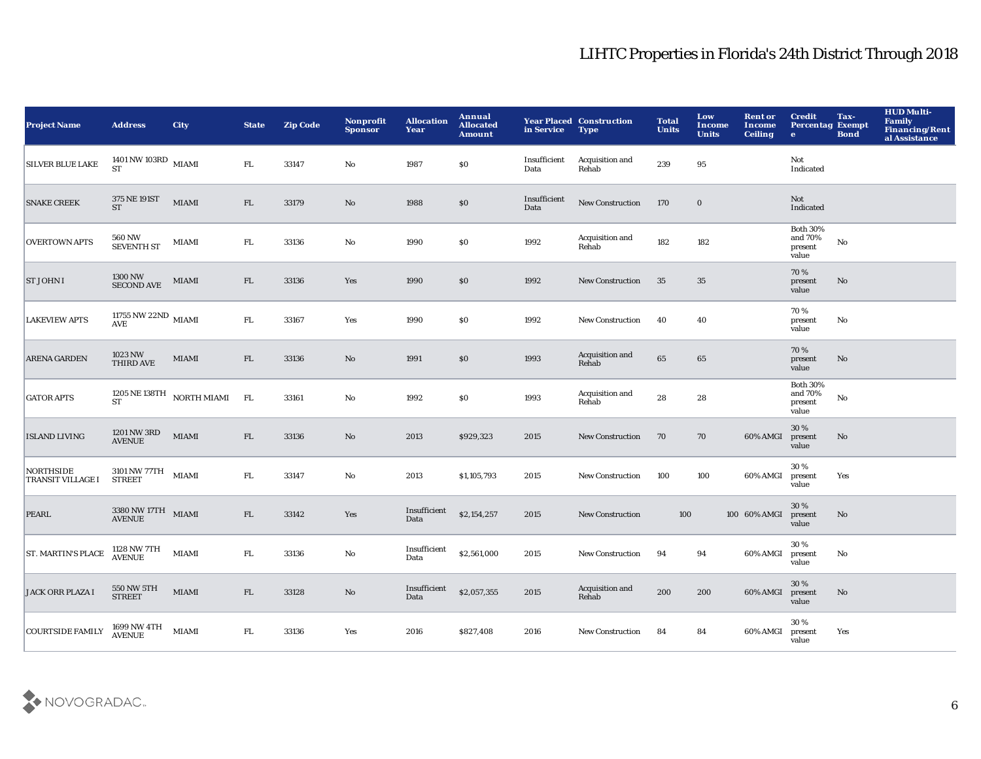| <b>Project Name</b>                          | <b>Address</b>                                    | City                           | <b>State</b> | <b>Zip Code</b> | <b>Nonprofit</b><br><b>Sponsor</b> | <b>Allocation</b><br>Year | Annual<br><b>Allocated</b><br><b>Amount</b> | in Service           | <b>Year Placed Construction</b><br><b>Type</b> | <b>Total</b><br><b>Units</b> | Low<br><b>Income</b><br><b>Units</b> | <b>Rent or</b><br><b>Income</b><br><b>Ceiling</b> | <b>Credit</b><br><b>Percentag Exempt</b><br>$\bullet$ | Tax-<br><b>Bond</b>    | <b>HUD Multi-</b><br><b>Family</b><br>Financing/Rent<br>al Assistance |
|----------------------------------------------|---------------------------------------------------|--------------------------------|--------------|-----------------|------------------------------------|---------------------------|---------------------------------------------|----------------------|------------------------------------------------|------------------------------|--------------------------------------|---------------------------------------------------|-------------------------------------------------------|------------------------|-----------------------------------------------------------------------|
| <b>SILVER BLUE LAKE</b>                      | 1401 NW 103RD $_{\rm~MIAMI}$<br><b>ST</b>         |                                | FL.          | 33147           | No                                 | 1987                      | $\$0$                                       | Insufficient<br>Data | Acquisition and<br>Rehab                       | 239                          | 95                                   |                                                   | Not<br>Indicated                                      |                        |                                                                       |
| <b>SNAKE CREEK</b>                           | 375 NE 191ST<br><b>ST</b>                         | <b>MIAMI</b>                   | ${\rm FL}$   | 33179           | $\mathbf {No}$                     | 1988                      | $\$0$                                       | Insufficient<br>Data | New Construction                               | 170                          | $\bf{0}$                             |                                                   | Not<br>Indicated                                      |                        |                                                                       |
| <b>OVERTOWN APTS</b>                         | $560\,\mathrm{NW}$ SEVENTH ST                     | MIAMI                          | ${\rm FL}$   | 33136           | $\mathbf {No}$                     | 1990                      | \$0                                         | 1992                 | Acquisition and<br>Rehab                       | 182                          | 182                                  |                                                   | <b>Both 30%</b><br>and 70%<br>present<br>value        | $\mathbf {No}$         |                                                                       |
| <b>ST JOHN I</b>                             | 1300 NW<br><b>SECOND AVE</b>                      | <b>MIAMI</b>                   | FL           | 33136           | Yes                                | 1990                      | $\$0$                                       | 1992                 | <b>New Construction</b>                        | 35                           | 35                                   |                                                   | 70%<br>present<br>value                               | $\mathbf{No}$          |                                                                       |
| <b>LAKEVIEW APTS</b>                         | $11755$ NW $22\mathrm{ND}$ MIAMI AVE              |                                | ${\rm FL}$   | 33167           | Yes                                | 1990                      | \$0                                         | 1992                 | <b>New Construction</b>                        | 40                           | 40                                   |                                                   | 70%<br>present<br>value                               | No                     |                                                                       |
| <b>ARENA GARDEN</b>                          | 1023 NW<br><b>THIRD AVE</b>                       | <b>MIAMI</b>                   | ${\rm FL}$   | 33136           | No                                 | 1991                      | \$0                                         | 1993                 | Acquisition and<br>Rehab                       | 65                           | 65                                   |                                                   | 70%<br>present<br>value                               | No                     |                                                                       |
| <b>GATOR APTS</b>                            | <b>ST</b>                                         | 1205 NE 138TH $\,$ NORTH MIAMI | FL           | 33161           | No                                 | 1992                      | \$0                                         | 1993                 | Acquisition and<br>Rehab                       | 28                           | 28                                   |                                                   | <b>Both 30%</b><br>and 70%<br>present<br>value        | No                     |                                                                       |
| <b>ISLAND LIVING</b>                         | $1201\,\mathrm{NW}\,3\mathrm{RD}$ AVENUE          | MIAMI                          | FL           | 33136           | No                                 | 2013                      | \$929,323                                   | 2015                 | <b>New Construction</b>                        | 70                           | 70                                   | 60% AMGI                                          | 30%<br>present<br>value                               | No                     |                                                                       |
| <b>NORTHSIDE</b><br><b>TRANSIT VILLAGE I</b> | 3101 NW 77TH<br><b>STREET</b>                     | <b>MIAMI</b>                   | ${\rm FL}$   | 33147           | No                                 | 2013                      | \$1,105,793                                 | 2015                 | New Construction                               | 100                          | 100                                  | 60% AMGI                                          | 30%<br>present<br>value                               | Yes                    |                                                                       |
| <b>PEARL</b>                                 | $3380\,\mathrm{NW}\,17\,\mathrm{TH}$ MIAMI AVENUE |                                | FL           | 33142           | Yes                                | Insufficient<br>Data      | \$2,154,257                                 | 2015                 | <b>New Construction</b>                        | 100                          |                                      | 100 60% AMGI                                      | 30%<br>present<br>value                               | $\mathbf{N}\mathbf{o}$ |                                                                       |
| <b>ST. MARTIN'S PLACE</b>                    | 1128 NW 7TH<br>AVENUE                             | <b>MIAMI</b>                   | ${\rm FL}$   | 33136           | No                                 | Insufficient<br>Data      | \$2,561,000                                 | 2015                 | New Construction                               | 94                           | 94                                   | 60% AMGI                                          | 30%<br>present<br>value                               | No                     |                                                                       |
| <b>JACK ORR PLAZA I</b>                      | 550 NW 5TH<br>STREET                              | <b>MIAMI</b>                   | FL           | 33128           | No                                 | Insufficient<br>Data      | \$2,057,355                                 | 2015                 | Acquisition and<br>Rehab                       | 200                          | 200                                  | 60% AMGI                                          | 30%<br>present<br>value                               | $\mathbf{No}$          |                                                                       |
| <b>COURTSIDE FAMILY</b>                      | 1699 NW 4TH<br>AVENUE                             | <b>MIAMI</b>                   | FL.          | 33136           | Yes                                | 2016                      | \$827,408                                   | 2016                 | <b>New Construction</b>                        | 84                           | 84                                   | 60% AMGI                                          | 30%<br>present<br>value                               | Yes                    |                                                                       |

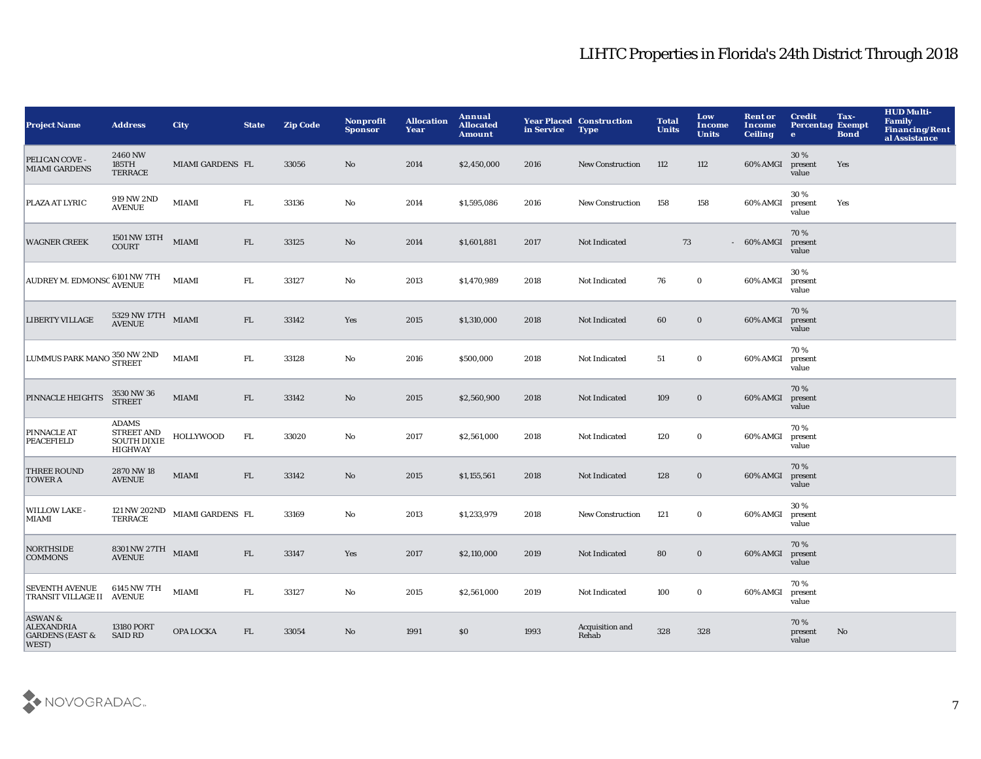| <b>Project Name</b>                                                | <b>Address</b>                                                     | <b>City</b>      | <b>State</b> | <b>Zip Code</b> | Nonprofit<br><b>Sponsor</b> | <b>Allocation</b><br>Year | Annual<br><b>Allocated</b><br><b>Amount</b> | in Service | <b>Year Placed Construction</b><br><b>Type</b> | <b>Total</b><br><b>Units</b> | Low<br>Income<br><b>Units</b> | <b>Rent or</b><br>Income<br><b>Ceiling</b> | <b>Credit</b><br><b>Percentag Exempt</b><br>$\bullet$ | Tax-<br><b>Bond</b> | <b>HUD Multi-</b><br><b>Family</b><br><b>Financing/Rent</b><br>al Assistance |
|--------------------------------------------------------------------|--------------------------------------------------------------------|------------------|--------------|-----------------|-----------------------------|---------------------------|---------------------------------------------|------------|------------------------------------------------|------------------------------|-------------------------------|--------------------------------------------|-------------------------------------------------------|---------------------|------------------------------------------------------------------------------|
| PELICAN COVE -<br><b>MIAMI GARDENS</b>                             | 2460 NW<br>185TH<br><b>TERRACE</b>                                 | MIAMI GARDENS FL |              | 33056           | No.                         | 2014                      | \$2,450,000                                 | 2016       | <b>New Construction</b>                        | 112                          | 112                           | 60% AMGI                                   | 30%<br>present<br>value                               | Yes                 |                                                                              |
| PLAZA AT LYRIC                                                     | 919 NW 2ND<br><b>AVENUE</b>                                        | <b>MIAMI</b>     | ${\rm FL}$   | 33136           | No                          | 2014                      | \$1,595,086                                 | 2016       | <b>New Construction</b>                        | 158                          | 158                           | 60% AMGI                                   | 30%<br>present<br>value                               | Yes                 |                                                                              |
| <b>WAGNER CREEK</b>                                                | 1501 NW 13TH<br><b>COURT</b>                                       | <b>MIAMI</b>     | FL           | 33125           | $\mathbf{N}\mathbf{o}$      | 2014                      | \$1,601,881                                 | 2017       | Not Indicated                                  | 73                           |                               | $-60\%$ AMGI                               | 70%<br>present<br>value                               |                     |                                                                              |
| AUDREY M. EDMONSO 6101 NW 7TH                                      |                                                                    | <b>MIAMI</b>     | FL.          | 33127           | No                          | 2013                      | \$1,470,989                                 | 2018       | Not Indicated                                  | 76                           | $\mathbf 0$                   | 60% AMGI                                   | 30%<br>present<br>value                               |                     |                                                                              |
| <b>LIBERTY VILLAGE</b>                                             | 5329 NW 17TH<br>AVENUE                                             | <b>MIAMI</b>     | FL           | 33142           | Yes                         | 2015                      | \$1,310,000                                 | 2018       | Not Indicated                                  | 60                           | $\bf{0}$                      | 60% AMGI                                   | 70%<br>present<br>value                               |                     |                                                                              |
| LUMMUS PARK MANO 350 NW 2ND                                        |                                                                    | <b>MIAMI</b>     | FL.          | 33128           | No                          | 2016                      | \$500,000                                   | 2018       | Not Indicated                                  | 51                           | $\mathbf 0$                   | 60% AMGI                                   | 70%<br>present<br>value                               |                     |                                                                              |
| PINNACLE HEIGHTS                                                   | 3530 NW 36<br><b>STREET</b>                                        | <b>MIAMI</b>     | FL           | 33142           | No                          | 2015                      | \$2,560,900                                 | 2018       | Not Indicated                                  | 109                          | $\bf{0}$                      | 60% AMGI                                   | 70%<br>present<br>value                               |                     |                                                                              |
| <b>PINNACLE AT</b><br><b>PEACEFIELD</b>                            | <b>ADAMS</b><br>STREET AND<br><b>SOUTH DIXIE</b><br><b>HIGHWAY</b> | <b>HOLLYWOOD</b> | ${\rm FL}$   | 33020           | No                          | 2017                      | \$2,561,000                                 | 2018       | Not Indicated                                  | 120                          | $\mathbf 0$                   | 60% AMGI                                   | 70%<br>present<br>value                               |                     |                                                                              |
| <b>THREE ROUND</b><br><b>TOWER A</b>                               | 2870 NW 18<br><b>AVENUE</b>                                        | <b>MIAMI</b>     | FL           | 33142           | No                          | 2015                      | \$1,155,561                                 | 2018       | Not Indicated                                  | 128                          | $\bf{0}$                      | 60% AMGI                                   | 70%<br>present<br>value                               |                     |                                                                              |
| <b>WILLOW LAKE -</b><br><b>MIAMI</b>                               | 121 NW 202ND<br><b>TERRACE</b>                                     | MIAMI GARDENS FL |              | 33169           | $\mathbf {No}$              | 2013                      | \$1,233,979                                 | 2018       | <b>New Construction</b>                        | 121                          | $\bf{0}$                      | 60% AMGI                                   | 30%<br>present<br>value                               |                     |                                                                              |
| <b>NORTHSIDE</b><br><b>COMMONS</b>                                 | $8301\,\mathrm{NW}\,27\,\mathrm{TH}$ MIAMI AVENUE                  |                  | FL           | 33147           | Yes                         | 2017                      | \$2,110,000                                 | 2019       | Not Indicated                                  | 80                           | $\bf{0}$                      | 60% AMGI                                   | 70%<br>present<br>value                               |                     |                                                                              |
| <b>SEVENTH AVENUE</b><br>TRANSIT VILLAGE II AVENUE                 | 6145 NW 7TH                                                        | <b>MIAMI</b>     | FL           | 33127           | No                          | 2015                      | \$2,561,000                                 | 2019       | Not Indicated                                  | 100                          | $\bf{0}$                      | 60% AMGI                                   | 70%<br>present<br>value                               |                     |                                                                              |
| ASWAN&<br><b>ALEXANDRIA</b><br><b>GARDENS (EAST &amp;</b><br>WEST) | 13180 PORT<br><b>SAID RD</b>                                       | <b>OPA LOCKA</b> | ${\rm FL}$   | 33054           | No                          | 1991                      | \$0                                         | 1993       | Acquisition and<br>Rehab                       | 328                          | 328                           |                                            | 70%<br>present<br>value                               | No                  |                                                                              |

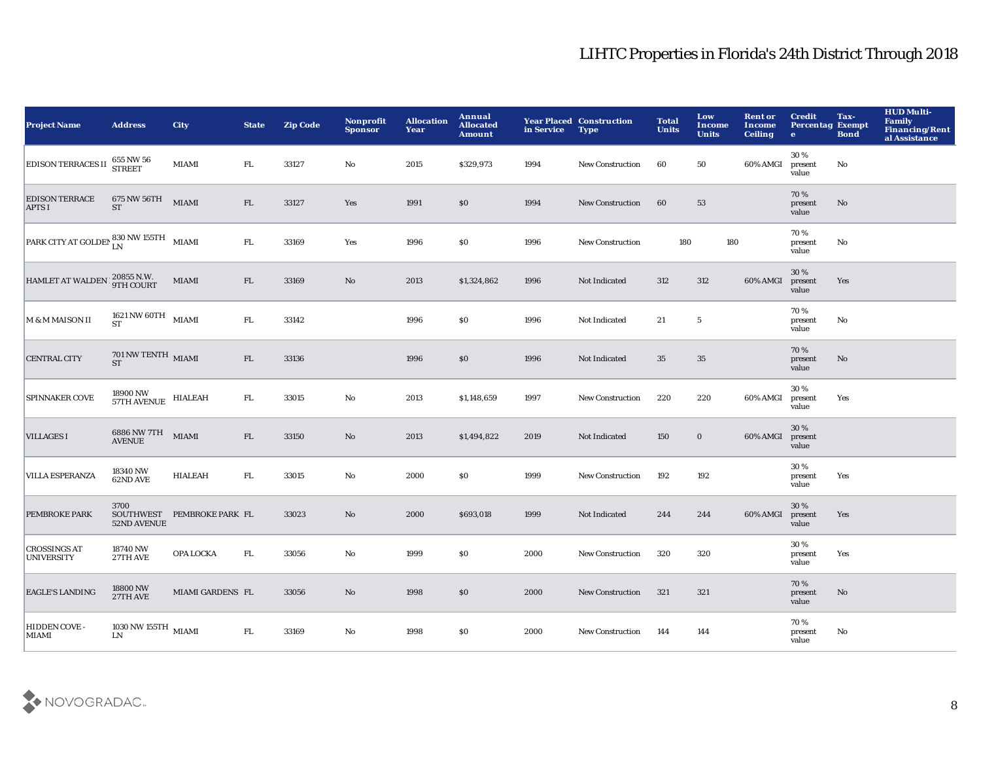| <b>Project Name</b>                      | <b>Address</b>                                                  | <b>City</b>                | <b>State</b> | <b>Zip Code</b> | Nonprofit<br><b>Sponsor</b> | <b>Allocation</b><br>Year | Annual<br><b>Allocated</b><br><b>Amount</b> | in Service Type | <b>Year Placed Construction</b> | <b>Total</b><br><b>Units</b> | Low<br><b>Income</b><br><b>Units</b> | <b>Rent or</b><br><b>Income</b><br><b>Ceiling</b> | <b>Credit</b><br><b>Percentag Exempt</b><br>$\bullet$ | Tax-<br><b>Bond</b> | <b>HUD Multi-</b><br><b>Family</b><br><b>Financing/Rent</b><br>al Assistance |
|------------------------------------------|-----------------------------------------------------------------|----------------------------|--------------|-----------------|-----------------------------|---------------------------|---------------------------------------------|-----------------|---------------------------------|------------------------------|--------------------------------------|---------------------------------------------------|-------------------------------------------------------|---------------------|------------------------------------------------------------------------------|
| <b>EDISON TERRACES II</b>                | 655 NW 56<br>STREET                                             | MIAMI                      | FL.          | 33127           | No                          | 2015                      | \$329,973                                   | 1994            | New Construction                | 60                           | 50                                   | 60% AMGI                                          | 30%<br>present<br>value                               | No                  |                                                                              |
| <b>EDISON TERRACE</b><br><b>APTS I</b>   | 675 NW 56TH<br><b>ST</b>                                        | <b>MIAMI</b>               | FL           | 33127           | Yes                         | 1991                      | $\$0$                                       | 1994            | New Construction                | 60                           | 53                                   |                                                   | 70%<br>present<br>value                               | No                  |                                                                              |
| PARK CITY AT GOLDEN 830 NW 155TH MIAMI   |                                                                 |                            | ${\rm FL}$   | 33169           | Yes                         | 1996                      | $\$0$                                       | 1996            | <b>New Construction</b>         | 180                          | 180                                  |                                                   | 70%<br>present<br>value                               | No                  |                                                                              |
| HAMLET AT WALDEN 120855 N.W.             |                                                                 | MIAMI                      | FL           | 33169           | $\mathbf{No}$               | 2013                      | \$1,324,862                                 | 1996            | Not Indicated                   | 312                          | 312                                  | 60% AMGI                                          | 30 %<br>present<br>value                              | Yes                 |                                                                              |
| M & M MAISON II                          | 1621 NW 60TH $$\rm MIAMI$$<br><b>ST</b>                         |                            | ${\rm FL}$   | 33142           |                             | 1996                      | $\$0$                                       | 1996            | Not Indicated                   | 21                           | $\sqrt{5}$                           |                                                   | 70%<br>present<br>value                               | No                  |                                                                              |
| <b>CENTRAL CITY</b>                      | $701\,\mathrm{NW}\,\mathrm{TENTH}\;$ MIAMI<br><b>ST</b>         |                            | FL           | 33136           |                             | 1996                      | $\$0$                                       | 1996            | Not Indicated                   | 35                           | 35                                   |                                                   | 70%<br>present<br>value                               | No                  |                                                                              |
| <b>SPINNAKER COVE</b>                    | $18900\,\mathrm{NW}$ $$\,$ HIALEAH $57\mathrm{TH}$ AVENUE $$\,$ |                            | FL.          | 33015           | $\mathbf {No}$              | 2013                      | \$1,148,659                                 | 1997            | New Construction                | 220                          | 220                                  | 60% AMGI                                          | 30%<br>present<br>value                               | Yes                 |                                                                              |
| <b>VILLAGES I</b>                        | 6886 NW 7TH<br>AVENUE                                           | <b>MIAMI</b>               | FL           | 33150           | No                          | 2013                      | \$1,494,822                                 | 2019            | Not Indicated                   | 150                          | $\bf{0}$                             | 60% AMGI                                          | 30 %<br>present<br>value                              |                     |                                                                              |
| <b>VILLA ESPERANZA</b>                   | 18340 NW<br>62ND AVE                                            | <b>HIALEAH</b>             | ${\rm FL}$   | 33015           | No                          | 2000                      | \$0                                         | 1999            | <b>New Construction</b>         | 192                          | 192                                  |                                                   | 30 %<br>present<br>value                              | Yes                 |                                                                              |
| <b>PEMBROKE PARK</b>                     | 3700<br>52ND AVENUE                                             | SOUTHWEST PEMBROKE PARK FL |              | 33023           | $\mathbf{N}\mathbf{o}$      | 2000                      | \$693,018                                   | 1999            | Not Indicated                   | 244                          | 244                                  | 60% AMGI                                          | 30%<br>present<br>value                               | Yes                 |                                                                              |
| <b>CROSSINGS AT</b><br><b>UNIVERSITY</b> | 18740 NW<br>27TH AVE                                            | OPA LOCKA                  | FL.          | 33056           | No                          | 1999                      | $\$0$                                       | 2000            | <b>New Construction</b>         | 320                          | 320                                  |                                                   | 30%<br>present<br>value                               | Yes                 |                                                                              |
| <b>EAGLE'S LANDING</b>                   | 18800 NW<br>27TH AVE                                            | MIAMI GARDENS FL           |              | 33056           | No                          | 1998                      | \$0                                         | 2000            | New Construction                | 321                          | 321                                  |                                                   | 70%<br>present<br>value                               | No                  |                                                                              |
| HIDDEN COVE-<br>MIAMI                    | 1030 NW 155TH $_{\rm~MIAMI}$<br>LN                              |                            | ${\rm FL}$   | 33169           | No                          | 1998                      | \$0\$                                       | 2000            | <b>New Construction</b>         | 144                          | 144                                  |                                                   | 70%<br>present<br>value                               | No                  |                                                                              |

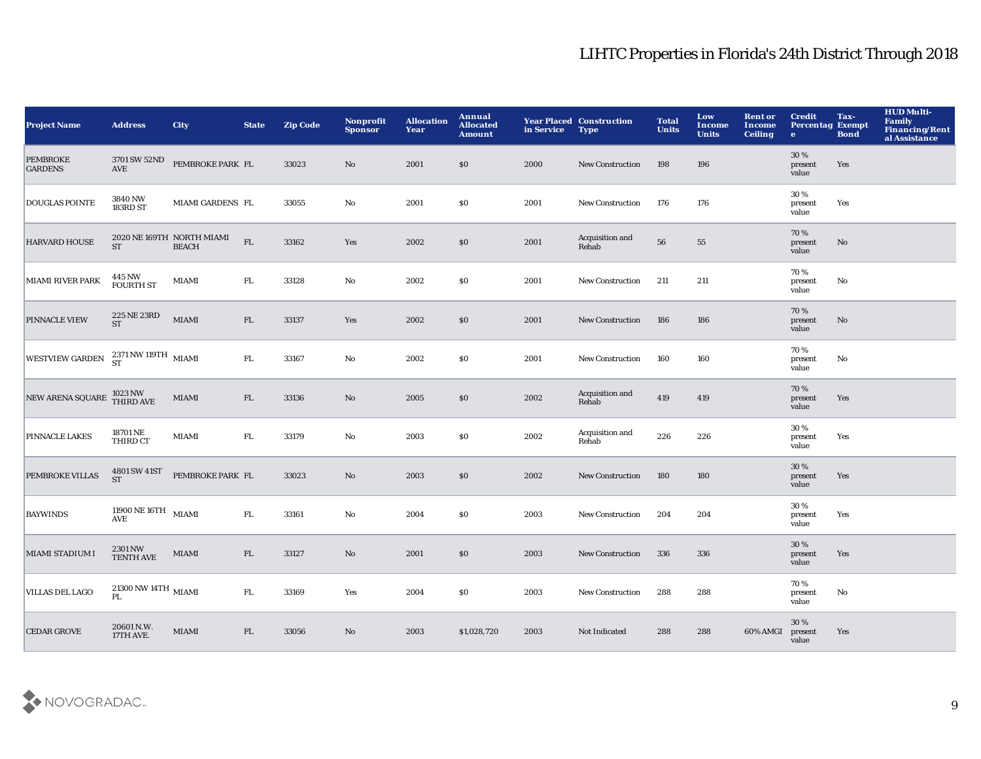| <b>Project Name</b>               | <b>Address</b>                                   | <b>City</b>                               | <b>State</b> | <b>Zip Code</b> | Nonprofit<br><b>Sponsor</b> | <b>Allocation</b><br>Year | Annual<br><b>Allocated</b><br><b>Amount</b> | in Service | <b>Year Placed Construction</b><br><b>Type</b> | <b>Total</b><br><b>Units</b> | Low<br>Income<br><b>Units</b> | <b>Rent or</b><br>Income<br><b>Ceiling</b> | <b>Credit</b><br><b>Percentag Exempt</b><br>$\bullet$ | Tax-<br><b>Bond</b> | <b>HUD Multi-</b><br><b>Family</b><br>Financing/Rent<br>al Assistance |
|-----------------------------------|--------------------------------------------------|-------------------------------------------|--------------|-----------------|-----------------------------|---------------------------|---------------------------------------------|------------|------------------------------------------------|------------------------------|-------------------------------|--------------------------------------------|-------------------------------------------------------|---------------------|-----------------------------------------------------------------------|
| <b>PEMBROKE</b><br><b>GARDENS</b> | 3701 SW 52ND<br>$\operatorname{\mathbf{AVE}}$    | PEMBROKE PARK FL                          |              | 33023           | No                          | 2001                      | \$0                                         | 2000       | New Construction                               | 198                          | 196                           |                                            | 30 %<br>present<br>value                              | Yes                 |                                                                       |
| <b>DOUGLAS POINTE</b>             | 3840 NW<br>183RD ST                              | MIAMI GARDENS FL                          |              | 33055           | $\mathbf{No}$               | 2001                      | \$0                                         | 2001       | New Construction                               | 176                          | 176                           |                                            | 30%<br>present<br>value                               | Yes                 |                                                                       |
| <b>HARVARD HOUSE</b>              | <b>ST</b>                                        | 2020 NE 169TH NORTH MIAMI<br><b>BEACH</b> | ${\rm FL}$   | 33162           | Yes                         | 2002                      | \$0                                         | 2001       | Acquisition and<br>Rehab                       | 56                           | 55                            |                                            | 70 %<br>present<br>value                              | No                  |                                                                       |
| <b>MIAMI RIVER PARK</b>           | 445 NW<br><b>FOURTH ST</b>                       | <b>MIAMI</b>                              | ${\rm FL}$   | 33128           | $\mathbf {No}$              | 2002                      | \$0                                         | 2001       | New Construction                               | 211                          | 211                           |                                            | 70%<br>present<br>value                               | No                  |                                                                       |
| PINNACLE VIEW                     | $225\,\mathrm{NE}\,23\mathrm{RD}$ ST             | <b>MIAMI</b>                              | FL           | 33137           | Yes                         | 2002                      | \$0                                         | 2001       | <b>New Construction</b>                        | 186                          | 186                           |                                            | 70%<br>present<br>value                               | No                  |                                                                       |
| <b>WESTVIEW GARDEN</b>            | $2371\,\mathrm{NW}\,119\,\mathrm{TH}$ MIAMI ST   |                                           | FL.          | 33167           | No                          | 2002                      | <b>SO</b>                                   | 2001       | <b>New Construction</b>                        | 160                          | 160                           |                                            | 70%<br>present<br>value                               | No                  |                                                                       |
| NEW ARENA SQUARE                  | 1023 NW<br>THIRD AVE                             | MIAMI                                     | FL           | 33136           | No                          | 2005                      | \$0                                         | 2002       | Acquisition and<br>Rehab                       | 419                          | 419                           |                                            | 70%<br>present<br>value                               | Yes                 |                                                                       |
| PINNACLE LAKES                    | 18701 NE<br>THIRD CT                             | MIAMI                                     | FL.          | 33179           | $\mathbf {No}$              | 2003                      | \$0                                         | 2002       | Acquisition and<br>Rehab                       | 226                          | 226                           |                                            | 30%<br>present<br>value                               | Yes                 |                                                                       |
| PEMBROKE VILLAS                   | 4801 SW 41ST<br>ST                               | PEMBROKE PARK FL                          |              | 33023           | $\rm\thinspace No$          | 2003                      | \$0                                         | 2002       | New Construction                               | 180                          | 180                           |                                            | 30 %<br>present<br>value                              | Yes                 |                                                                       |
| <b>BAYWINDS</b>                   | 11900 NE 16TH $$\rm MIAMI$$<br><b>AVE</b>        |                                           | ${\rm FL}$   | 33161           | No                          | 2004                      | \$0                                         | 2003       | New Construction                               | 204                          | 204                           |                                            | 30%<br>present<br>value                               | Yes                 |                                                                       |
| MIAMI STADIUM I                   | 2301 NW<br><b>TENTH AVE</b>                      | MIAMI                                     | ${\rm FL}$   | 33127           | No                          | 2001                      | \$0                                         | 2003       | <b>New Construction</b>                        | 336                          | 336                           |                                            | 30%<br>present<br>value                               | Yes                 |                                                                       |
| VILLAS DEL LAGO                   | $21300$ NW $14 \mathrm{TH}$ $_{\rm~MIAMI}$<br>PL |                                           | FL.          | 33169           | Yes                         | 2004                      | \$0                                         | 2003       | <b>New Construction</b>                        | 288                          | 288                           |                                            | 70%<br>present<br>value                               | No                  |                                                                       |
| <b>CEDAR GROVE</b>                | 20601 N.W.<br>17TH AVE.                          | <b>MIAMI</b>                              | FL           | 33056           | No                          | 2003                      | \$1,028,720                                 | 2003       | Not Indicated                                  | 288                          | 288                           | 60% AMGI                                   | 30 %<br>present<br>value                              | Yes                 |                                                                       |

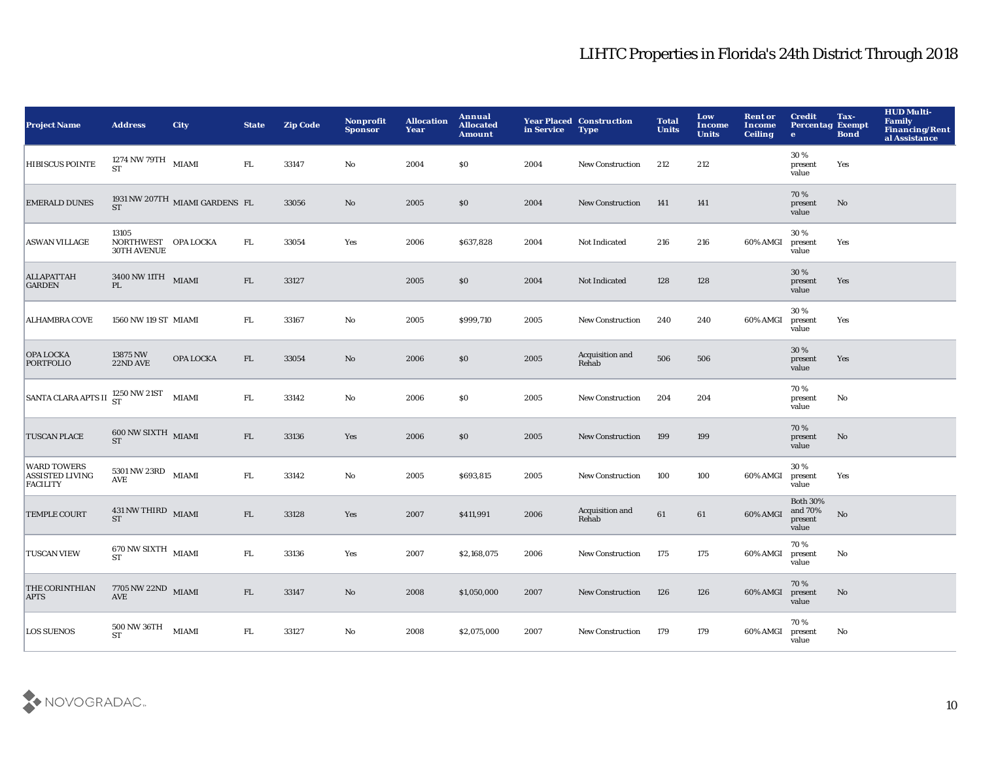| <b>Project Name</b>                                             | <b>Address</b>                                                            | <b>City</b>                                      | <b>State</b> | <b>Zip Code</b> | <b>Nonprofit</b><br><b>Sponsor</b> | <b>Allocation</b><br>Year | <b>Annual</b><br><b>Allocated</b><br><b>Amount</b> | in Service | <b>Year Placed Construction</b><br><b>Type</b> | <b>Total</b><br><b>Units</b> | Low<br><b>Income</b><br><b>Units</b> | <b>Rent or</b><br><b>Income</b><br><b>Ceiling</b> | <b>Credit</b><br><b>Percentag Exempt</b><br>$\mathbf{e}$ | Tax-<br><b>Bond</b> | <b>HUD Multi-</b><br><b>Family</b><br>Financing/Rent<br>al Assistance |
|-----------------------------------------------------------------|---------------------------------------------------------------------------|--------------------------------------------------|--------------|-----------------|------------------------------------|---------------------------|----------------------------------------------------|------------|------------------------------------------------|------------------------------|--------------------------------------|---------------------------------------------------|----------------------------------------------------------|---------------------|-----------------------------------------------------------------------|
| <b>HIBISCUS POINTE</b>                                          | 1274 NW 79TH<br><b>ST</b>                                                 | <b>MIAMI</b>                                     | FL.          | 33147           | No                                 | 2004                      | $\$0$                                              | 2004       | New Construction                               | 212                          | 212                                  |                                                   | 30%<br>present<br>value                                  | Yes                 |                                                                       |
| <b>EMERALD DUNES</b>                                            |                                                                           | 1931 NW 207TH $\,$ MIAMI GARDENS $\,$ FL $\,$ ST |              | 33056           | $\mathbf {No}$                     | 2005                      | \$0                                                | 2004       | New Construction                               | 141                          | 141                                  |                                                   | 70%<br>present<br>value                                  | No                  |                                                                       |
| <b>ASWAN VILLAGE</b>                                            | 13105<br>NORTHWEST OPA LOCKA<br><b>30TH AVENUE</b>                        |                                                  | FL.          | 33054           | Yes                                | 2006                      | \$637,828                                          | 2004       | Not Indicated                                  | 216                          | 216                                  | 60% AMGI                                          | 30%<br>present<br>value                                  | Yes                 |                                                                       |
| <b>ALLAPATTAH</b><br><b>GARDEN</b>                              | $3400\,\rm{NW}\,$ 11<br>TH $_{\,$ MIAMI<br>PL                             |                                                  | FL           | 33127           |                                    | 2005                      | \$0                                                | 2004       | Not Indicated                                  | 128                          | 128                                  |                                                   | 30 %<br>present<br>value                                 | Yes                 |                                                                       |
| <b>ALHAMBRA COVE</b>                                            | 1560 NW 119 ST MIAMI                                                      |                                                  | ${\rm FL}$   | 33167           | No                                 | 2005                      | \$999,710                                          | 2005       | New Construction                               | 240                          | 240                                  | 60% AMGI                                          | 30%<br>present<br>value                                  | Yes                 |                                                                       |
| OPA LOCKA<br><b>PORTFOLIO</b>                                   | 13875 NW<br>22ND AVE                                                      | OPA LOCKA                                        | FL           | 33054           | $\mathbf{No}$                      | 2006                      | \$0                                                | 2005       | Acquisition and<br>Rehab                       | 506                          | 506                                  |                                                   | 30 %<br>present<br>value                                 | Yes                 |                                                                       |
| SANTA CLARA APTS II $^{1250}_{\rm ST}$ NW 21ST                  |                                                                           | <b>MIAMI</b>                                     | ${\rm FL}$   | 33142           | $\mathbf {No}$                     | 2006                      | $\$0$                                              | 2005       | New Construction                               | 204                          | 204                                  |                                                   | 70%<br>present<br>value                                  | No                  |                                                                       |
| <b>TUSCAN PLACE</b>                                             | $600\,\mathrm{NW}\,\mathrm{SIXTH}\,\,$ MIAMI ST                           |                                                  | FL           | 33136           | Yes                                | 2006                      | \$0                                                | 2005       | <b>New Construction</b>                        | 199                          | 199                                  |                                                   | 70%<br>present<br>value                                  | No                  |                                                                       |
| <b>WARD TOWERS</b><br><b>ASSISTED LIVING</b><br><b>FACILITY</b> | $5301\,\mathrm{NW}\,23\mathrm{RD}$ MIAMI<br>$\operatorname{\mathbf{AVE}}$ |                                                  | FL.          | 33142           | No                                 | 2005                      | \$693,815                                          | 2005       | <b>New Construction</b>                        | 100                          | 100                                  | 60% AMGI                                          | 30%<br>present<br>value                                  | Yes                 |                                                                       |
| <b>TEMPLE COURT</b>                                             | $431\,\rm{NW\,THIRD}$ $_{\rm~MIAMI}$<br><b>ST</b>                         |                                                  | FL           | 33128           | Yes                                | 2007                      | \$411,991                                          | 2006       | Acquisition and<br>Rehab                       | 61                           | 61                                   | 60% AMGI                                          | <b>Both 30%</b><br>and 70%<br>present<br>value           | No                  |                                                                       |
| <b>TUSCAN VIEW</b>                                              | $670\,\mathrm{NW}\,\mathrm{SIXTH}\;$ MIAMI<br><b>ST</b>                   |                                                  | ${\rm FL}$   | 33136           | Yes                                | 2007                      | \$2,168,075                                        | 2006       | <b>New Construction</b>                        | 175                          | 175                                  | 60% AMGI                                          | 70%<br>present<br>value                                  | No                  |                                                                       |
| THE CORINTHIAN<br><b>APTS</b>                                   | 7705 NW 22ND MIAMI<br>$\operatorname{\mathbf{AVE}}$                       |                                                  | FL           | 33147           | No                                 | 2008                      | \$1,050,000                                        | 2007       | <b>New Construction</b>                        | 126                          | 126                                  | 60% AMGI                                          | 70%<br>present<br>value                                  | No                  |                                                                       |
| <b>LOS SUENOS</b>                                               | 500 NW 36TH<br><b>ST</b>                                                  | <b>MIAMI</b>                                     | ${\rm FL}$   | 33127           | No                                 | 2008                      | \$2,075,000                                        | 2007       | <b>New Construction</b>                        | 179                          | 179                                  | 60% AMGI                                          | 70%<br>present<br>value                                  | No                  |                                                                       |